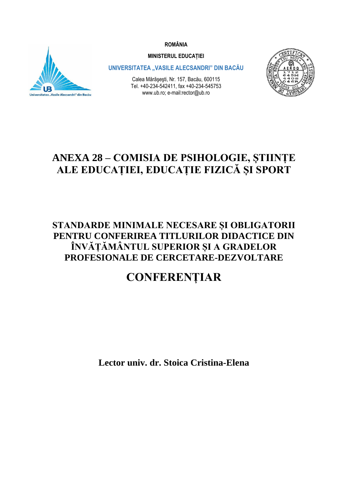**ROMÂNIA**



**MINISTERUL EDUCAȚIEI**

**UNIVERSITATEA "VASILE ALECSANDRI" DIN BACĂU** 

Calea Mărăşeşti, Nr. 157, Bacău, 600115 Tel. +40-234-542411, fax +40-234-545753 www.ub.ro; e-mail:rector@ub.ro



## **ANEXA 28 – COMISIA DE PSIHOLOGIE, ȘTIINȚE ALE EDUCAȚIEI, EDUCAȚIE FIZICĂ ȘI SPORT**

**STANDARDE MINIMALE NECESARE ȘI OBLIGATORII PENTRU CONFERIREA TITLURILOR DIDACTICE DIN ÎNVĂȚĂMÂNTUL SUPERIOR ȘI A GRADELOR PROFESIONALE DE CERCETARE-DEZVOLTARE**

## **CONFERENȚIAR**

**Lector univ. dr. Stoica Cristina-Elena**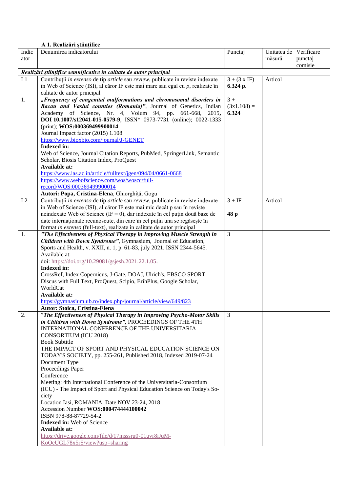## **A 1. Realizări științifice**

| Indic          | Denumirea indicatorului                                                           | Punctaj             | Unitatea de | Verificare |
|----------------|-----------------------------------------------------------------------------------|---------------------|-------------|------------|
| ator           |                                                                                   |                     | măsură      | punctaj    |
|                |                                                                                   |                     |             | comisie    |
|                | Realizări științifice semnificative în calitate de autor principal                |                     |             |            |
| I <sub>1</sub> | Contribuții in extenso de tip article sau review, publicate în reviste indexate   | $3 + (3 \times IF)$ | Articol     |            |
|                | în Web of Science (ISI), al căror IF este mai mare sau egal cu $p$ , realizate în | 6.324 p.            |             |            |
|                | calitate de autor principal                                                       |                     |             |            |
| 1.             | "Frequency of congenital malformations and chromosomal disorders in               | $3+$                |             |            |
|                | Bacau and Vaslui counties (Romania)", Journal of Genetics, Indian                 | $(3x1.108) =$       |             |            |
|                | Academy of Science, Nr. 4, Volum 94, pp. 661-668, 2015,                           | 6.324               |             |            |
|                | DOI 10.1007/s12041-015-0579-9, ISSN* 0973-7731 (online); 0022-1333                |                     |             |            |
|                | (print); WOS:000369499900014                                                      |                     |             |            |
|                | Journal Impact factor (2015) 1.108                                                |                     |             |            |
|                | https://www.bioxbio.com/journal/J-GENET                                           |                     |             |            |
|                | <b>Indexed</b> in:                                                                |                     |             |            |
|                | Web of Science, Journal Citation Reports, PubMed, SpringerLink, Semantic          |                     |             |            |
|                | Scholar, Biosis Citation Index, ProQuest                                          |                     |             |            |
|                | Available at:                                                                     |                     |             |            |
|                | https://www.ias.ac.in/article/fulltext/jgen/094/04/0661-0668                      |                     |             |            |
|                | https://www.webofscience.com/wos/woscc/full-                                      |                     |             |            |
|                | record/WOS:000369499900014                                                        |                     |             |            |
|                | Autori: Popa, Cristina-Elena, Ghiorghiță, Gogu                                    |                     |             |            |
| I <sub>2</sub> | Contribuții in extenso de tip article sau review, publicate în reviste indexate   | $3 + IF$            | Articol     |            |
|                | în Web of Science (ISI), al căror IF este mai mic decât p sau în reviste          |                     |             |            |
|                | neindexate Web of Science (IF = 0), dar indexate în cel puțin două baze de        | 48 p                |             |            |
|                | date internaționale recunoscute, din care în cel puțin una se regăsește în        |                     |             |            |
|                | format in extenso (full-text), realizate în calitate de autor principal           |                     |             |            |
| 1.             | "The Effectiveness of Physical Therapy in Improving Muscle Strength in            | 3                   |             |            |
|                | Children with Down Syndrome", Gymnasium, Journal of Education,                    |                     |             |            |
|                | Sports and Health, v. XXII, n. 1, p. 61-83, july 2021. ISSN 2344-5645.            |                     |             |            |
|                | Available at:                                                                     |                     |             |            |
|                | doi: https://doi.org/10.29081/gsjesh.2021.22.1.05.                                |                     |             |            |
|                | Indexed in:                                                                       |                     |             |            |
|                | CrossRef, Index Copernicus, J-Gate, DOAJ, Ulrich's, EBSCO SPORT                   |                     |             |            |
|                | Discus with Full Text, ProQuest, Scipio, ErihPlus, Google Scholar,                |                     |             |            |
|                | WorldCat                                                                          |                     |             |            |
|                | Available at:                                                                     |                     |             |            |
|                | https://gymnasium.ub.ro/index.php/journal/article/view/649/823                    |                     |             |            |
|                | Autor: Stoica, Cristina-Elena                                                     |                     |             |            |
| 2.             | "The Effectiveness of Physical Therapy in Improving Psycho-Motor Skills           | 3                   |             |            |
|                | in Children with Down Syndrome", PROCEEDINGS OF THE 4TH                           |                     |             |            |
|                | INTERNATIONAL CONFERENCE OF THE UNIVERSITARIA                                     |                     |             |            |
|                | <b>CONSORTIUM (ICU 2018)</b>                                                      |                     |             |            |
|                | <b>Book Subtitle</b>                                                              |                     |             |            |
|                | THE IMPACT OF SPORT AND PHYSICAL EDUCATION SCIENCE ON                             |                     |             |            |
|                | TODAY'S SOCIETY, pp. 255-261, Published 2018, Indexed 2019-07-24                  |                     |             |            |
|                | Document Type                                                                     |                     |             |            |
|                | Proceedings Paper                                                                 |                     |             |            |
|                | Conference                                                                        |                     |             |            |
|                | Meeting: 4th International Conference of the Universitaria-Consortium             |                     |             |            |
|                | (ICU) - The Impact of Sport and Physical Education Science on Today's So-         |                     |             |            |
|                | ciety                                                                             |                     |             |            |
|                | Location Iasi, ROMANIA, Date NOV 23-24, 2018                                      |                     |             |            |
|                | Accession Number WOS:000474444100042                                              |                     |             |            |
|                | ISBN 978-88-87729-54-2                                                            |                     |             |            |
|                | <b>Indexed in:</b> Web of Science                                                 |                     |             |            |
|                | <b>Available at:</b>                                                              |                     |             |            |
|                | https://drive.google.com/file/d/17msssru0-01uvr8iJqM-                             |                     |             |            |
|                | KoOeUGL78x5rS/view?usp=sharing                                                    |                     |             |            |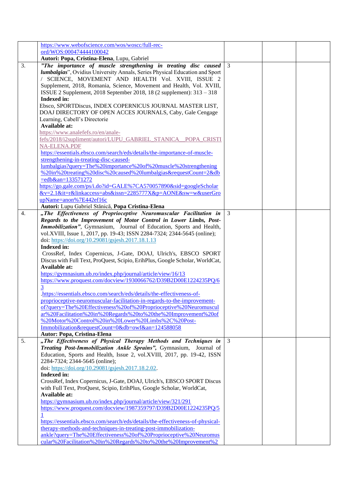|    | https://www.webofscience.com/wos/woscc/full-rec-<br>ord/WOS:000474444100042    |   |  |
|----|--------------------------------------------------------------------------------|---|--|
|    | Autori: Popa, Cristina-Elena, Lupu, Gabriel                                    |   |  |
| 3. | "The importance of muscle strengthening in treating disc caused                | 3 |  |
|    | lumbalgias", Ovidius University Annals, Series Physical Education and Sport    |   |  |
|    | / SCIENCE, MOVEMENT AND HEALTH Vol. XVIII, ISSUE 2                             |   |  |
|    |                                                                                |   |  |
|    | Supplement, 2018, Romania, Science, Movement and Health, Vol. XVIII,           |   |  |
|    | ISSUE 2 Supplement, 2018 September 2018, 18 (2 supplement): 313 - 318          |   |  |
|    | <b>Indexed in:</b>                                                             |   |  |
|    | Ebsco, SPORTDiscus, INDEX COPERNICUS JOURNAL MASTER LIST,                      |   |  |
|    | DOAJ DIRECTORY OF OPEN ACCES JOURNALS, Caby, Gale Cengage                      |   |  |
|    | Learning, Cabell's Directorie                                                  |   |  |
|    | Available at:                                                                  |   |  |
|    | https://www.analefefs.ro/en/anale-                                             |   |  |
|    | fefs/2018/i2supliment/autori/LUPU_GABRIEL_STANICA_POPA_CRISTI                  |   |  |
|    | <b>NA-ELENA.PDF</b>                                                            |   |  |
|    | https://essentials.ebsco.com/search/eds/details/the-importance-of-muscle-      |   |  |
|    | strengthening-in-treating-disc-caused-                                         |   |  |
|    | lumbalgias?query=The%20importance%20of%20muscle%20strengthening                |   |  |
|    | %20in%20treating%20disc%20caused%20lumbalgias&requestCount=2&db                |   |  |
|    |                                                                                |   |  |
|    | $=$ edb $&$ an=133571272                                                       |   |  |
|    | https://go.gale.com/ps/i.do?id=GALE%7CA570057890&sid=googleScholar             |   |  |
|    | &v=2.1⁢=r&linkaccess=abs&issn=2285777X&p=AONE&sw=w&userGro                     |   |  |
|    | upName=anon%7E442ef16c                                                         |   |  |
|    | Autori: Lupu Gabriel Stănică, Popa Cristina-Elena                              |   |  |
| 4. | "The Effectiveness of Proprioceptive Neuromuscular Facilitation in             | 3 |  |
|    | Regards to the Improvement of Motor Control in Lower Limbs, Post-              |   |  |
|    | Immobilization", Gymnasium, Journal of Education, Sports and Health,           |   |  |
|    | vol.XVIII, Issue 1, 2017, pp. 19-43; ISSN 2284-7324; 2344-5645 (online);       |   |  |
|    | doi: https://doi.org/10.29081/gsjesh.2017.18.1.13                              |   |  |
|    | Indexed in:                                                                    |   |  |
|    | CrossRef, Index Copernicus, J-Gate, DOAJ, Ulrich's, EBSCO SPORT                |   |  |
|    | Discus with Full Text, ProQuest, Scipio, ErihPlus, Google Scholar, WorldCat,   |   |  |
|    | <b>Available at:</b>                                                           |   |  |
|    | https://gymnasium.ub.ro/index.php/journal/article/view/16/13                   |   |  |
|    |                                                                                |   |  |
|    | https://www.proquest.com/docview/1930066762/D39B2D00E1224235PQ/6               |   |  |
|    | 3                                                                              |   |  |
|    | .https://essentials.ebsco.com/search/eds/details/the-effectiveness-of-         |   |  |
|    | proprioceptive-neuromuscular-facilitation-in-regards-to-the-improvement-       |   |  |
|    | of?query=The%20Effectiveness%20of%20Proprioceptive%20Neuromuscul               |   |  |
|    | ar%20Facilitation%20in%20Regards%20to%20the%20Improvement%20of                 |   |  |
|    | %20Motor%20Control%20in%20Lower%20Limbs%2C%20Post-                             |   |  |
|    | Immobilization&requestCount=0&db=owf&an=124588058                              |   |  |
|    | Autor: Popa, Cristina-Elena                                                    |   |  |
| 5. | "The Effectiveness of Physical Therapy Methods and Techniques in               | 3 |  |
|    | Treating Post-Immobilization Ankle Sprains", Gymnasium, Journal of             |   |  |
|    | Education, Sports and Health, Issue 2, vol.XVIII, 2017, pp. 19-42, ISSN        |   |  |
|    | 2284-7324; 2344-5645 (online);                                                 |   |  |
|    | doi: https://doi.org/10.29081/gsjesh.2017.18.2.02.                             |   |  |
|    | Indexed in:                                                                    |   |  |
|    | CrossRef, Index Copernicus, J-Gate, DOAJ, Ulrich's, EBSCO SPORT Discus         |   |  |
|    |                                                                                |   |  |
|    | with Full Text, ProQuest, Scipio, ErihPlus, Google Scholar, WorldCat,          |   |  |
|    | Available at:                                                                  |   |  |
|    | https://gymnasium.ub.ro/index.php/journal/article/view/321/291                 |   |  |
|    | https://www.proquest.com/docview/1987359797/D39B2D00E1224235PQ/5               |   |  |
|    |                                                                                |   |  |
|    | https://essentials.ebsco.com/search/eds/details/the-effectiveness-of-physical- |   |  |
|    | therapy-methods-and-techniques-in-treating-post-immobilization-                |   |  |
|    | ankle?query=The%20Effectiveness%20of%20Proprioceptive%20Neuromus               |   |  |
|    | cular%20Facilitation%20in%20Regards%20to%20the%20Improvement%2                 |   |  |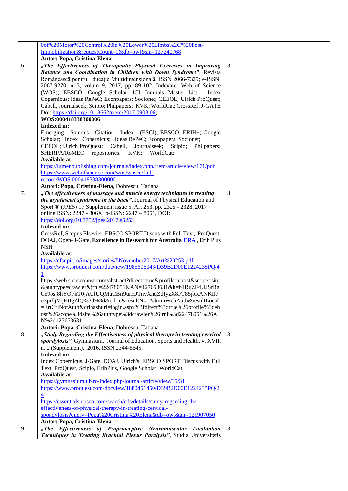|    | 0of%20Motor%20Control%20in%20Lower%20Limbs%2C%20Post-                       |   |  |
|----|-----------------------------------------------------------------------------|---|--|
|    | Immobilization&requestCount=0&db=owf&an=127240768                           |   |  |
|    |                                                                             |   |  |
|    | Autor: Popa, Cristina-Elena                                                 |   |  |
| 6. | "The Effectiveness of Therapeutic Physical Exercises in Improving           | 3 |  |
|    | Balance and Coordination in Children with Down Syndrome", Revista           |   |  |
|    | Românească pentru Educație Multidimensională, ISSN 2066-7329; e-ISSN:       |   |  |
|    | 2067-9270, nr.3, volum 9, 2017, pp. 89-102, Indexare: Web of Science        |   |  |
|    | (WOS); EBSCO; Google Scholar; ICI Journals Master List - Index              |   |  |
|    | Copernicus; Ideas RePeC; Econpapers; Socionet; CEEOL; Ulrich ProQuest;      |   |  |
|    | Cabell, Journalseek; Scipio; Philpapers; KVK; WorldCat; CrossRef; J-GATE    |   |  |
|    | Doi: https://doi.org/10.18662/rrem/2017.0903.06;                            |   |  |
|    | WOS:000418338300006                                                         |   |  |
|    | Indexed in:                                                                 |   |  |
|    | Emerging Sources Citation Index (ESCI); EBSCO; ERIH+; Google                |   |  |
|    | Scholar; Index Copernicus; Ideas RePeC; Econpapers; Socionet;               |   |  |
|    | CEEOL; Ulrich ProQuest; Cabell,<br>Journalseek; Scipio; Philpapers;         |   |  |
|    | repositories; KVK; WorldCat;<br>SHERPA/RoMEO                                |   |  |
|    | Available at:                                                               |   |  |
|    | https://lumenpublishing.com/journals/index.php/rrem/article/view/171/pdf    |   |  |
|    | https://www.webofscience.com/wos/woscc/full-                                |   |  |
|    | record/WOS:000418338300006                                                  |   |  |
|    |                                                                             |   |  |
|    | Autori: Popa, Cristina-Elena, Dobrescu, Tatiana                             |   |  |
| 7. | "The effectiveness of massage and muscle energy techniques in treating      | 3 |  |
|    | the myofascial syndrome in the back", Journal of Physical Education and     |   |  |
|    | Sport ® (JPES) 17 Supplement issue 5, Art 253, pp. 2325 - 2328, 2017        |   |  |
|    | online ISSN: 2247 - 806X; p-ISSN: 2247 - 8051, DOI:                         |   |  |
|    | https://doi.org/10.7752/jpes.2017.s5253                                     |   |  |
|    | Indexed in:                                                                 |   |  |
|    | CrossRef, Scopus Elsevier, EBSCO SPORT Discus with Full Text, ProQuest,     |   |  |
|    | DOAJ, Open- J-Gate, Excellence in Research for Australia ERA, Erih Plus     |   |  |
|    | NSH.                                                                        |   |  |
|    | Available at:                                                               |   |  |
|    | https://efsupit.ro/images/stories/5November2017/Art%20253.pdf               |   |  |
|    | https://www.proquest.com/docview/1985606043/D39B2D00E1224235PQ/4            |   |  |
|    |                                                                             |   |  |
|    | https://web.s.ebscohost.com/abstract?direct=true&profile=ehost&scope=site   |   |  |
|    | &authtype=crawler&jrnl=22478051&AN=127653631&h=b1RuZF4UJSrBg                |   |  |
|    | Ce9osj8hYOFkT0jAUlUQMuCBii9urHJTnvXnqZdIyzX8FT85jbRANKIf7                   |   |  |
|    | o3prlljVqHtIgZlQ%3d%3d&crl=c&resultNs=AdminWebAuth&resultLocal              |   |  |
|    | =ErrCrlNotAuth&crlhashurl=login.aspx%3fdirect%3dtrue%26profile%3deh         |   |  |
|    | ost%26scope%3dsite%26authtype%3dcrawler%26jrnl%3d22478051%26A               |   |  |
|    | N%3d127653631                                                               |   |  |
|    | Autori: Popa, Cristina-Elena, Dobrescu, Tatiana                             |   |  |
| 8. | "Study Regarding the Effectiveness of physical therapy in treating cervical | 3 |  |
|    | spondylosis", Gymnasium, Journal of Education, Sports and Health, v. XVII,  |   |  |
|    |                                                                             |   |  |
|    | n. 2 (Supplement), 2016. ISSN 2344-5645.                                    |   |  |
|    | Indexed in:                                                                 |   |  |
|    | Index Copernicus, J-Gate, DOAJ, Ulrich's, EBSCO SPORT Discus with Full      |   |  |
|    | Text, ProQuest, Scipio, ErihPlus, Google Scholar, WorldCat,                 |   |  |
|    | Available at:                                                               |   |  |
|    | https://gymnasium.ub.ro/index.php/journal/article/view/35/31                |   |  |
|    | https://www.proquest.com/docview/1880451450/D39B2D00E1224235PQ/2            |   |  |
|    | $\overline{4}$                                                              |   |  |
|    | https://essentials.ebsco.com/search/eds/details/study-regarding-the-        |   |  |
|    | effectiveness-of-physical-therapy-in-treating-cervical-                     |   |  |
|    | spondylosis?query=Popa%20Cristina%20Elena&db=owf&an=121907050               |   |  |
|    | Autor: Popa, Cristina-Elena                                                 |   |  |
| 9. | "The Effectiveness of Proprioceptive Neuromuscular<br><b>Facilitation</b>   | 3 |  |
|    | Techniques in Treating Brachial Plexus Paralysis", Studia Universitatis     |   |  |
|    |                                                                             |   |  |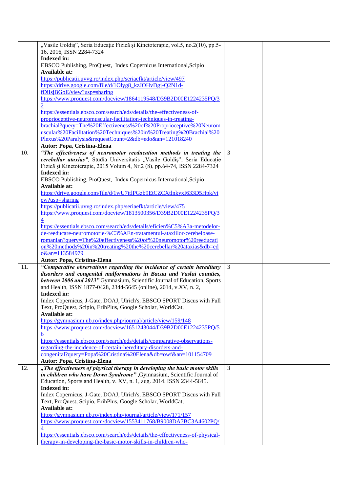|     | "Vasile Goldiș", Seria Educație Fizică și Kinetoterapie, vol.5, no.2(10), pp.5-<br>16, 2016, ISSN 2284-7324                                       |                |  |
|-----|---------------------------------------------------------------------------------------------------------------------------------------------------|----------------|--|
|     | Indexed in:                                                                                                                                       |                |  |
|     |                                                                                                                                                   |                |  |
|     | EBSCO Publishing, ProQuest, Index Copernicus International, Scipio<br>Available at:                                                               |                |  |
|     | https://publicatii.uvvg.ro/index.php/seriaefkt/article/view/497                                                                                   |                |  |
|     | https://drive.google.com/file/d/1Olyg8_kzJOHvDgj-Q2N1d-                                                                                           |                |  |
|     | fDiIsjBGoE/view?usp=sharing                                                                                                                       |                |  |
|     | https://www.proquest.com/docview/1864119548/D39B2D00E1224235PQ/3                                                                                  |                |  |
|     |                                                                                                                                                   |                |  |
|     | https://essentials.ebsco.com/search/eds/details/the-effectiveness-of-                                                                             |                |  |
|     | proprioceptive-neuromuscular-facilitation-techniques-in-treating-                                                                                 |                |  |
|     | brachial?query=The%20Effectiveness%20of%20Proprioceptive%20Neurom                                                                                 |                |  |
|     | uscular%20Facilitation%20Techniques%20in%20Treating%20Brachial%20                                                                                 |                |  |
|     | Plexus%20Paralysis&requestCount=2&db=edo&an=121018240                                                                                             |                |  |
|     | <b>Autor: Popa, Cristina-Elena</b>                                                                                                                |                |  |
| 10. | "The effectiveness of neuromotor reeducation methods in treating the                                                                              | 3              |  |
|     | cerebellar ataxias", Studia Universitatis "Vasile Goldiș", Seria Educație                                                                         |                |  |
|     | Fizică și Kinetoterapie, 2015 Volum 4, Nr.2 (8), pp.64-74, ISSN 2284-7324                                                                         |                |  |
|     | Indexed in:                                                                                                                                       |                |  |
|     | EBSCO Publishing, ProQuest, Index Copernicus International, Scipio                                                                                |                |  |
|     | Available at:                                                                                                                                     |                |  |
|     | https://drive.google.com/file/d/1wU7ttlPGzb9EtCZCXtlnkyxI633D5Hpk/vi                                                                              |                |  |
|     | ew?usp=sharing                                                                                                                                    |                |  |
|     | https://publicatii.uvvg.ro/index.php/seriaefkt/article/view/475                                                                                   |                |  |
|     | https://www.proquest.com/docview/1813500356/D39B2D00E1224235PQ/3                                                                                  |                |  |
|     | $\overline{4}$                                                                                                                                    |                |  |
|     | https://essentials.ebsco.com/search/eds/details/eficien%C5%A3a-metodelor-                                                                         |                |  |
|     | de-reeducare-neuromotorie-%C3%AEn-tratamentul-ataxiilor-cerebeloase-                                                                              |                |  |
|     | romanian?query=The%20effectiveness%20of%20neuromotor%20reeducati                                                                                  |                |  |
|     | on%20methods%20in%20treating%20the%20cerebellar%20ataxias&db=ed                                                                                   |                |  |
|     | o&an=113584979                                                                                                                                    |                |  |
|     | Autor: Popa, Cristina-Elena                                                                                                                       |                |  |
| 11. | "Comparative observations regarding the incidence of certain hereditary                                                                           | 3              |  |
|     | disorders and congenital malformations in Bacau and Vaslui counties,<br>between 2006 and 2013" Gymnasium, Scientific Journal of Education, Sports |                |  |
|     | and Health, ISSN 1877-0428, 2344-5645 (online), 2014, v.XV, n. 2,                                                                                 |                |  |
|     | Indexed in:                                                                                                                                       |                |  |
|     | Index Copernicus, J-Gate, DOAJ, Ulrich's, EBSCO SPORT Discus with Full                                                                            |                |  |
|     | Text, ProQuest, Scipio, ErihPlus, Google Scholar, WorldCat,                                                                                       |                |  |
|     | Available at:                                                                                                                                     |                |  |
|     | https://gymnasium.ub.ro/index.php/journal/article/view/159/148                                                                                    |                |  |
|     | https://www.proquest.com/docview/1651243044/D39B2D00E1224235PQ/5                                                                                  |                |  |
|     | 6                                                                                                                                                 |                |  |
|     | https://essentials.ebsco.com/search/eds/details/comparative-observations-                                                                         |                |  |
|     | regarding-the-incidence-of-certain-hereditary-disorders-and-                                                                                      |                |  |
|     | congenital?query=Popa%20Cristina%20Elena&db=owf&an=101154709                                                                                      |                |  |
|     | Autor: Popa, Cristina-Elena                                                                                                                       |                |  |
| 12. | "The effectiveness of physical therapy in developing the basic motor skills                                                                       | $\overline{3}$ |  |
|     | in children who have Down Syndrome", Gymnasium, Scientific Journal of                                                                             |                |  |
|     | Education, Sports and Health, v. XV, n. 1, aug. 2014. ISSN 2344-5645.                                                                             |                |  |
|     | Indexed in:                                                                                                                                       |                |  |
|     |                                                                                                                                                   |                |  |
|     | Index Copernicus, J-Gate, DOAJ, Ulrich's, EBSCO SPORT Discus with Full                                                                            |                |  |
|     | Text, ProQuest, Scipio, ErihPlus, Google Scholar, WorldCat,                                                                                       |                |  |
|     | Available at:                                                                                                                                     |                |  |
|     | https://gymnasium.ub.ro/index.php/journal/article/view/171/157                                                                                    |                |  |
|     | https://www.proquest.com/docview/1553411768/B9008DA7BC3A4602PQ/                                                                                   |                |  |
|     | $\overline{4}$<br>https://essentials.ebsco.com/search/eds/details/the-effectiveness-of-physical-                                                  |                |  |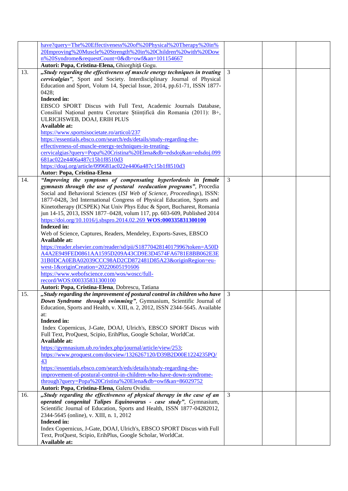|     | have?query=The%20Effectiveness%20of%20Physical%20Therapy%20in%               |                |  |
|-----|------------------------------------------------------------------------------|----------------|--|
|     | 20Improving%20Muscle%20Strength%20in%20Children%20with%20Dow                 |                |  |
|     | n%20Syndrome&requestCount=0&db=owf&an=101154667                              |                |  |
|     | Autori: Popa, Cristina-Elena, Ghiorghiță Gogu.                               |                |  |
| 13. | "Study regarding the effectiveness of muscle energy techniques in treating   | 3              |  |
|     | cervicalgias", Sport and Society. Interdisciplinary Journal of Physical      |                |  |
|     | Education and Sport, Volum 14, Special Issue, 2014, pp.61-71, ISSN 1877-     |                |  |
|     | 0428;                                                                        |                |  |
|     | Indexed in:                                                                  |                |  |
|     |                                                                              |                |  |
|     | EBSCO SPORT Discus with Full Text, Academic Journals Database,               |                |  |
|     | Consiliul Național pentru Cercetare Științifică din Romania (2011): B+,      |                |  |
|     | ULRICHSWEB, DOAJ, ERIH PLUS                                                  |                |  |
|     | <b>Available at:</b>                                                         |                |  |
|     | https://www.sportsisocietate.ro/articol/237                                  |                |  |
|     | https://essentials.ebsco.com/search/eds/details/study-regarding-the-         |                |  |
|     | effectiveness-of-muscle-energy-techniques-in-treating-                       |                |  |
|     | cervicalgias?query=Popa%20Cristina%20Elena&db=edsdoj&an=edsdoj.099           |                |  |
|     | 681ac022e4406a487c15b1f8510d3                                                |                |  |
|     | https://doaj.org/article/099681ac022e4406a487c15b1f8510d3                    |                |  |
|     | Autor: Popa, Cristina-Elena                                                  |                |  |
| 14. | "Improving the symptoms of compensating hyperlordosis in female              | 3              |  |
|     | gymnasts through the use of postural reeducation programs", Procedia         |                |  |
|     |                                                                              |                |  |
|     | Social and Behavioral Sciences (ISI Web of Science, Proceedings), ISSN:      |                |  |
|     | 1877-0428, 3rd International Congress of Physical Education, Sports and      |                |  |
|     | Kinetotherapy (ICSPEK) Nat Univ Phys Educ & Sport, Bucharest, Romania        |                |  |
|     | jun 14-15, 2013, ISSN 1877-0428, volum 117, pp. 603-609, Published 2014      |                |  |
|     | https://doi.org/10.1016/j.sbspro.2014.02.269 WOS:000335831300100             |                |  |
|     | Indexed in:                                                                  |                |  |
|     | Web of Science, Captures, Readers, Mendeley, Exports-Saves, EBSCO            |                |  |
|     | Available at:                                                                |                |  |
|     | https://reader.elsevier.com/reader/sd/pii/S1877042814017996?token=A50D       |                |  |
|     | A4A2E949FED0861AA1595D209A43CD9E3D4574FA6781E8BB062E3E                       |                |  |
|     | 31B0DCA0EBA02039CCC98AD2CD872481D85A23&originRegion=eu-                      |                |  |
|     | west-1&originCreation=20220605191606                                         |                |  |
|     | https://www.webofscience.com/wos/woscc/full-                                 |                |  |
|     | record/WOS:000335831300100                                                   |                |  |
|     | Autori: Popa, Cristina-Elena, Dobrescu, Tatiana                              |                |  |
| 15. | "Study regarding the improvement of postural control in children who have    | $\mathfrak{Z}$ |  |
|     | Down Syndrome through swimming", Gymnasium, Scientific Journal of            |                |  |
|     | Education, Sports and Health, v. XIII, n. 2, 2012, ISSN 2344-5645. Available |                |  |
|     |                                                                              |                |  |
|     | at:                                                                          |                |  |
|     | Indexed in:                                                                  |                |  |
|     | Index Copernicus, J-Gate, DOAJ, Ulrich's, EBSCO SPORT Discus with            |                |  |
|     | Full Text, ProQuest, Scipio, ErihPlus, Google Scholar, WorldCat.             |                |  |
|     | Available at:                                                                |                |  |
|     | https://gymnasium.ub.ro/index.php/journal/article/view/253;                  |                |  |
|     | https://www.proquest.com/docview/1326267120/D39B2D00E1224235PQ/              |                |  |
|     | 43                                                                           |                |  |
|     | https://essentials.ebsco.com/search/eds/details/study-regarding-the-         |                |  |
|     | improvement-of-postural-control-in-children-who-have-down-syndrome-          |                |  |
|     | through?query=Popa%20Cristina%20Elena&db=owf&an=86029752                     |                |  |
|     | Autori: Popa, Cristina-Elena, Galeru Ovidiu.                                 |                |  |
| 16. | "Study regarding the effectiveness of physical therapy in the case of an     | $\overline{3}$ |  |
|     | operated congenital Talipes Equinovarus - case study", Gymnasium,            |                |  |
|     | Scientific Journal of Education, Sports and Health, ISSN 1877-04282012,      |                |  |
|     | 2344-5645 (online), v. XIII, n. 1, 2012                                      |                |  |
|     | Indexed in:                                                                  |                |  |
|     |                                                                              |                |  |
|     | Index Copernicus, J-Gate, DOAJ, Ulrich's, EBSCO SPORT Discus with Full       |                |  |
|     | Text, ProQuest, Scipio, ErihPlus, Google Scholar, WorldCat.                  |                |  |
|     | Available at:                                                                |                |  |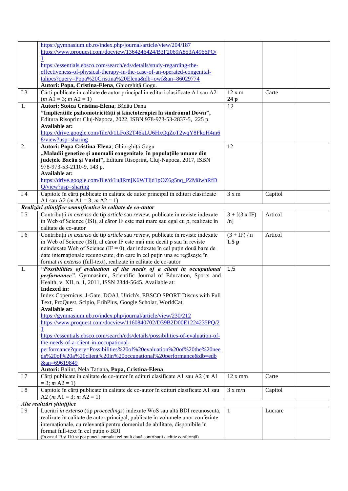|                | https://gymnasium.ub.ro/index.php/journal/article/view/204/187                           |                      |         |  |
|----------------|------------------------------------------------------------------------------------------|----------------------|---------|--|
|                | https://www.proquest.com/docview/1364246424/B3F2069A853A4966PQ/                          |                      |         |  |
|                |                                                                                          |                      |         |  |
|                | https://essentials.ebsco.com/search/eds/details/study-regarding-the-                     |                      |         |  |
|                | effectiveness-of-physical-therapy-in-the-case-of-an-operated-congenital-                 |                      |         |  |
|                | talipes?query=Popa%20Cristina%20Elena&db=owf&an=86029774                                 |                      |         |  |
|                | Autori: Popa, Cristina-Elena, Ghiorghiță Gogu.                                           |                      |         |  |
| <b>I3</b>      | Cărți publicate în calitate de autor principal în edituri clasificate A1 sau A2          | 12 x m               | Carte   |  |
|                | $(m A1 = 3; m A2 = 1)$                                                                   | 24p                  |         |  |
|                |                                                                                          |                      |         |  |
| 1.             | Autori: Stoica Cristina-Elena; Bădău Dana                                                | 12                   |         |  |
|                | "Implicațiile psihomotricității și kinetoterapiei în sindromul Down",                    |                      |         |  |
|                | Editura Risoprint Cluj-Napoca, 2022, ISBN 978-973-53-2837-5, 225 p.                      |                      |         |  |
|                | <b>Available at:</b>                                                                     |                      |         |  |
|                | https://drive.google.com/file/d/1LFo32T46kLU6HxQqZoT2wqY8FkqH4m6                         |                      |         |  |
|                | 8/view?usp=sharing                                                                       |                      |         |  |
| 2.             | Autori: Popa Cristina-Elena; Ghiorghiță Gogu                                             | 12                   |         |  |
|                | "Maladii genetice și anomalii congenitale în populațiile umane din                       |                      |         |  |
|                | județele Bacău și Vaslui", Editura Risoprint, Cluj-Napoca, 2017, ISBN                    |                      |         |  |
|                |                                                                                          |                      |         |  |
|                | 978-973-53-2110-9, 143 p.                                                                |                      |         |  |
|                | Available at:                                                                            |                      |         |  |
|                | https://drive.google.com/file/d/1u8RmjK6WTljd1pOZ6g5nq P2M8whRfD                         |                      |         |  |
|                | $Q$ /view?usp=sharing                                                                    |                      |         |  |
| I4             | Capitole în cărți publicate în calitate de autor principal în edituri clasificate        | $3 \times m$         | Capitol |  |
|                | A1 sau A2 ( $m$ A1 = 3; $m$ A2 = 1)                                                      |                      |         |  |
|                | Realizări științifice semnificative în calitate de co-autor                              |                      |         |  |
| I <sub>5</sub> | Contribuții in extenso de tip article sau review, publicate în reviste indexate          | $3 + [(3 \times IF)$ | Articol |  |
|                | în Web of Science (ISI), al căror IF este mai mare sau egal cu $p$ , realizate în        | $/n$ ]               |         |  |
|                |                                                                                          |                      |         |  |
|                | calitate de co-autor                                                                     |                      |         |  |
| I 6            | Contribuții in extenso de tip article sau review, publicate în reviste indexate          | $(3 + IF) / n$       | Articol |  |
|                | în Web of Science (ISI), al căror IF este mai mic decât p sau în reviste                 | 1.5 <sub>p</sub>     |         |  |
|                | neindexate Web of Science (IF = 0), dar indexate în cel puțin două baze de               |                      |         |  |
|                | date internaționale recunoscute, din care în cel puțin una se regăsește în               |                      |         |  |
|                | format in extenso (full-text), realizate în calitate de co-autor                         |                      |         |  |
| 1.             | "Possibilities of evaluation of the needs of a client in occupational                    | 1,5                  |         |  |
|                | performance". Gymnasium, Scientific Journal of Education, Sports and                     |                      |         |  |
|                | Health, v. XII, n. 1, 2011, ISSN 2344-5645. Available at:                                |                      |         |  |
|                | Indexed in:                                                                              |                      |         |  |
|                |                                                                                          |                      |         |  |
|                | Index Copernicus, J-Gate, DOAJ, Ulrich's, EBSCO SPORT Discus with Full                   |                      |         |  |
|                | Text, ProQuest, Scipio, ErihPlus, Google Scholar, WorldCat.                              |                      |         |  |
|                | Available at:                                                                            |                      |         |  |
|                | https://gymnasium.ub.ro/index.php/journal/article/view/230/212                           |                      |         |  |
|                | https://www.proquest.com/docview/1160840702/D39B2D00E1224235PQ/2                         |                      |         |  |
|                |                                                                                          |                      |         |  |
|                | https://essentials.ebsco.com/search/eds/details/possibilities-of-evaluation-of-          |                      |         |  |
|                | the-needs-of-a-client-in-occupational-                                                   |                      |         |  |
|                | performance?query=Possibilities%20of%20evaluation%20of%20the%20nee                       |                      |         |  |
|                | ds%20of%20a%20client%20in%20occupational%20performance&db=edb                            |                      |         |  |
|                | &an=69619849                                                                             |                      |         |  |
|                | Autori: Balint, Nela Tatiana, Popa, Cristina-Elena                                       |                      |         |  |
|                |                                                                                          |                      |         |  |
| I <sub>7</sub> | Cărți publicate în calitate de co-autor în edituri clasificate A1 sau A2 (m A1           | 12 x m/n             | Carte   |  |
|                | $= 3; m A2 = 1)$                                                                         |                      |         |  |
| I 8            | Capitole în cărți publicate în calitate de co-autor în edituri clasificate A1 sau        | $3 \times m/n$       | Capitol |  |
|                | A2 $(m A1 = 3; m A2 = 1)$                                                                |                      |         |  |
|                | Alte realizări științifice                                                               |                      |         |  |
| I9             | Lucrări in extenso (tip proceedings) indexate WoS sau altă BDI recunoscută,              | -1                   | Lucrare |  |
|                | realizate în calitate de autor principal, publicate în volumele unor conferințe          |                      |         |  |
|                | internaționale, cu relevanță pentru domeniul de abilitare, disponibile în                |                      |         |  |
|                | format full-text în cel puțin o BDI                                                      |                      |         |  |
|                | (în cazul I9 și I10 se pot puncta cumulat cel mult două contribuții / ediție conferință) |                      |         |  |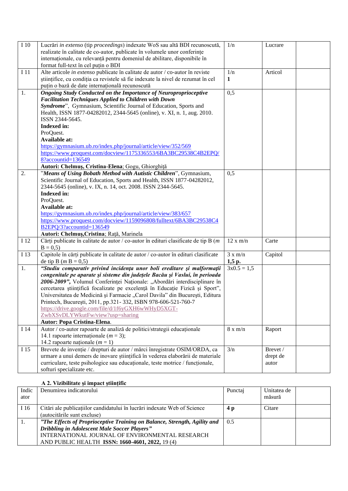| $\overline{1}10$ | Lucrări in extenso (tip proceedings) indexate WoS sau altă BDI recunoscută,           | 1/n            | Lucrare  |
|------------------|---------------------------------------------------------------------------------------|----------------|----------|
|                  | realizate în calitate de co-autor, publicate în volumele unor conferințe              |                |          |
|                  | internaționale, cu relevanță pentru domeniul de abilitare, disponibile în             |                |          |
|                  | format full-text în cel puțin o BDI                                                   |                |          |
| I 11             | Alte articole in extenso publicate în calitate de autor / co-autor în reviste         | 1/n            | Articol  |
|                  | științifice, cu condiția ca revistele să fie indexate la nivel de rezumat în cel      | 1              |          |
|                  | puțin o bază de date internațională recunoscută                                       |                |          |
| 1.               | <b>Ongoing Study Conducted on the Importance of Neuroproprioceptive</b>               | 0,5            |          |
|                  | <b>Facilitation Techniques Applied to Children with Down</b>                          |                |          |
|                  | Syndrome", Gymnasium, Scientific Journal of Education, Sports and                     |                |          |
|                  | Health, ISSN 1877-04282012, 2344-5645 (online), v. XI, n. 1, aug. 2010.               |                |          |
|                  | ISSN 2344-5645.                                                                       |                |          |
|                  | <b>Indexed in:</b>                                                                    |                |          |
|                  | ProQuest.                                                                             |                |          |
|                  | Available at:                                                                         |                |          |
|                  | https://gymnasium.ub.ro/index.php/journal/article/view/352/569                        |                |          |
|                  | https://www.proquest.com/docview/1175336553/6BA3BC29538C4B2EPQ/                       |                |          |
|                  | 8?accountid=136549                                                                    |                |          |
|                  | Autori: Chelmuș, Cristina-Elena; Gogu, Ghiorghiță                                     |                |          |
| 2.               | "Means of Using Bobath Method with Autistic Children", Gymnasium,                     | 0,5            |          |
|                  | Scientific Journal of Education, Sports and Health, ISSN 1877-04282012,               |                |          |
|                  | 2344-5645 (online), v. IX, n. 14, oct. 2008. ISSN 2344-5645.                          |                |          |
|                  | Indexed in:                                                                           |                |          |
|                  | ProQuest.                                                                             |                |          |
|                  | <b>Available at:</b>                                                                  |                |          |
|                  | https://gymnasium.ub.ro/index.php/journal/article/view/383/657                        |                |          |
|                  | https://www.proquest.com/docview/1159096808/fulltext/6BA3BC29538C4                    |                |          |
|                  | B2EPQ/3?accountid=136549                                                              |                |          |
|                  | Autori: Chelmuș, Cristina; Rață, Marinela                                             |                |          |
| I 12             | Cărți publicate în calitate de autor / co-autor în edituri clasificate de tip B ( $m$ | 12 x m/n       | Carte    |
|                  | $B = 0,5$                                                                             |                |          |
| I 13             | Capitole în cărți publicate în calitate de autor / co-autor în edituri clasificate    | 3 x m/n        | Capitol  |
|                  | de tip B ( <i>m</i> B = 0,5)                                                          | $1,5$ p.       |          |
| 1.               | "Studiu comparativ privind incidența unor boli ereditare și malformații               | $3x0.5 = 1,5$  |          |
|                  | congenitale pe aparate și sisteme din județele Bacău și Vaslui, în perioada           |                |          |
|                  | 2006-2009", Volumul Conferinței Naționale: "Abordări interdisciplinare în             |                |          |
|                  | cercetarea științifică focalizate pe excelență în Educație Fizică și Sport",          |                |          |
|                  | Universitatea de Medicină și Farmacie "Carol Davila" din București, Editura           |                |          |
|                  | Printech, București, 2011, pp.321- 332, ISBN 978-606-521-760-7                        |                |          |
|                  | https://drive.google.com/file/d/1f6yGXH6wWHyD5XGT-                                    |                |          |
|                  | ZwbXSvDLYWkutFw/view?usp=sharing                                                      |                |          |
|                  | <b>Autor: Popa Cristina-Elena.</b>                                                    |                |          |
| I 14             | Autor / co-autor rapoarte de analiză de politici/strategii educaționale               | $8 \times m/n$ | Raport   |
|                  | 14.1 rapoarte internaționale ( $m = 3$ );                                             |                |          |
|                  | 14.2 rapoarte naționale ( $m = 1$ )                                                   |                |          |
| I 15             | Brevete de invenție / drepturi de autor / mărci înregistrate OSIM/ORDA, ca            | 3/n            | Brevet / |
|                  | urmare a unui demers de inovare științifică în vederea elaborării de materiale        |                | drept de |
|                  | curriculare, teste psihologice sau educaționale, teste motrice / funcționale,         |                | autor    |
|                  | softuri specializate etc.                                                             |                |          |

## **A 2. Vizibilitate și impact științific**

| Indic | Denumirea indicatorului                                                   | Punctaj | Unitatea de |  |
|-------|---------------------------------------------------------------------------|---------|-------------|--|
| ator  |                                                                           |         | măsură      |  |
| I 16  | Citări ale publicațiilor candidatului în lucrări indexate Web of Science  | 4 p     | Citare      |  |
|       | (autocitările sunt excluse)                                               |         |             |  |
|       | "The Effects of Proprioceptive Training on Balance, Strength, Agility and | 0.5     |             |  |
|       | Dribbling in Adolescent Male Soccer Players"                              |         |             |  |
|       | INTERNATIONAL JOURNAL OF ENVIRONMENTAL RESEARCH                           |         |             |  |
|       | AND PUBLIC HEALTH ISSN: 1660-4601, 2022, 19(4)                            |         |             |  |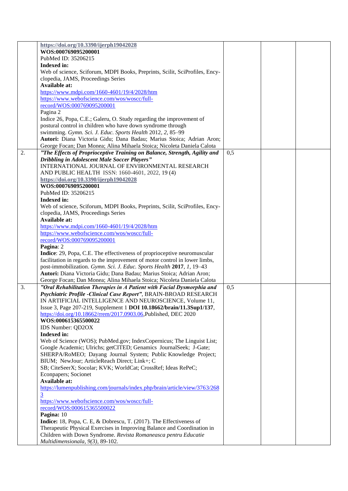|    | https://doi.org/10.3390/ijerph19042028                                          |     |  |
|----|---------------------------------------------------------------------------------|-----|--|
|    | WOS:000769095200001                                                             |     |  |
|    | PubMed ID: 35206215                                                             |     |  |
|    | Indexed in:                                                                     |     |  |
|    | Web of science, Sciforum, MDPI Books, Preprints, Scilit, SciProfiles, Ency-     |     |  |
|    | clopedia, JAMS, Proceedings Series                                              |     |  |
|    | Available at:                                                                   |     |  |
|    | https://www.mdpi.com/1660-4601/19/4/2028/htm                                    |     |  |
|    |                                                                                 |     |  |
|    | https://www.webofscience.com/wos/woscc/full-                                    |     |  |
|    | record/WOS:000769095200001                                                      |     |  |
|    | Pagina 2                                                                        |     |  |
|    | Indice 26, Popa, C.E.; Galeru, O. Study regarding the improvement of            |     |  |
|    | postural control in children who have down syndrome through                     |     |  |
|    | swimming. Gymn. Sci. J. Educ. Sports Health 2012, 2, 85-99                      |     |  |
|    | Autori: Diana Victoria Gidu; Dana Badau; Marius Stoica; Adrian Aron;            |     |  |
|    | George Focan; Dan Monea; Alina Mihaela Stoica; Nicoleta Daniela Calota          |     |  |
| 2. | "The Effects of Proprioceptive Training on Balance, Strength, Agility and       | 0,5 |  |
|    | Dribbling in Adolescent Male Soccer Players"                                    |     |  |
|    | INTERNATIONAL JOURNAL OF ENVIRONMENTAL RESEARCH                                 |     |  |
|    | AND PUBLIC HEALTH ISSN: 1660-4601, 2022, 19(4)                                  |     |  |
|    | https://doi.org/10.3390/ijerph19042028                                          |     |  |
|    | WOS:000769095200001                                                             |     |  |
|    | PubMed ID: 35206215                                                             |     |  |
|    | <b>Indexed in:</b>                                                              |     |  |
|    | Web of science, Sciforum, MDPI Books, Preprints, Scilit, SciProfiles, Ency-     |     |  |
|    | clopedia, JAMS, Proceedings Series                                              |     |  |
|    | Available at:                                                                   |     |  |
|    | https://www.mdpi.com/1660-4601/19/4/2028/htm                                    |     |  |
|    | https://www.webofscience.com/wos/woscc/full-                                    |     |  |
|    | record/WOS:000769095200001                                                      |     |  |
|    | Pagina: 2                                                                       |     |  |
|    | <b>Indice:</b> 29, Popa, C.E. The effectiveness of proprioceptive neuromuscular |     |  |
|    | facilitation in regards to the improvement of motor control in lower limbs,     |     |  |
|    | post-immobilization. Gymn. Sci. J. Educ. Sports Health 2017, 1, 19-43           |     |  |
|    | Autori: Diana Victoria Gidu; Dana Badau; Marius Stoica; Adrian Aron;            |     |  |
|    | George Focan; Dan Monea; Alina Mihaela Stoica; Nicoleta Daniela Calota          |     |  |
| 3. | "Oral Rehabilitation Therapies in A Patient with Facial Dysmorphia and          | 0,5 |  |
|    | Psychiatric Profile - Clinical Case Report", BRAIN-BROAD RESEARCH               |     |  |
|    | IN ARTIFICIAL INTELLIGENCE AND NEUROSCIENCE. Volume 11                          |     |  |
|    |                                                                                 |     |  |
|    | Issue 3, Page 207-219, Supplement 1 DOI 10.18662/brain/11.3Sup1/137,            |     |  |
|    | https://doi.org/10.18662/rrem/2017.0903.06,Published, DEC 2020                  |     |  |
|    | WOS:000615365500022                                                             |     |  |
|    | IDS Number: QD2OX                                                               |     |  |
|    | Indexed in:                                                                     |     |  |
|    | Web of Science (WOS); PubMed.gov; IndexCopernicus; The Linguist List;           |     |  |
|    | Google Academic; Ulrichs; getCITED; Genamics JournalSeek; J-Gate;               |     |  |
|    | SHERPA/RoMEO; Dayang Journal System; Public Knowledge Project;                  |     |  |
|    | BIUM; NewJour; ArticleReach Direct; Link+; C                                    |     |  |
|    | SB; CiteSeerX; Socolar; KVK; WorldCat; CrossRef; Ideas RePeC;                   |     |  |
|    | Econpapers; Socionet                                                            |     |  |
|    | Available at:                                                                   |     |  |
|    | https://lumenpublishing.com/journals/index.php/brain/article/view/3763/268      |     |  |
|    | $\overline{3}$                                                                  |     |  |
|    | https://www.webofscience.com/wos/woscc/full-                                    |     |  |
|    | record/WOS:000615365500022                                                      |     |  |
|    | Pagina: 10                                                                      |     |  |
|    | Indice: 18, Popa, C. E, & Dobrescu, T. (2017). The Effectiveness of             |     |  |
|    | Therapeutic Physical Exercises in Improving Balance and Coordination in         |     |  |
|    | Children with Down Syndrome. Revista Romaneasca pentru Educatie                 |     |  |
|    | Multidimensionala, 9(3), 89-102.                                                |     |  |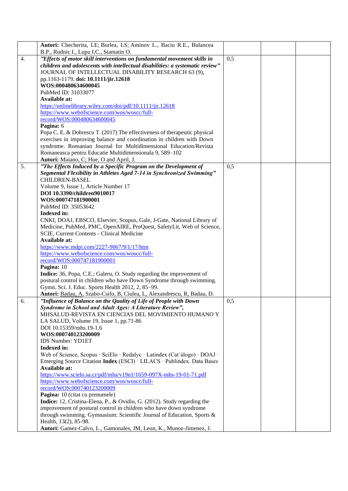|    | Autori: Checherita, LE; Burlea, LS; Aminov L., Baciu R.E., Bulancea                                               |     |  |
|----|-------------------------------------------------------------------------------------------------------------------|-----|--|
|    | B.P., Rudnic I., Lupu I.C., Stamatin O.                                                                           |     |  |
| 4. | "Effects of motor skill interventions on fundamental movement skills in                                           | 0,5 |  |
|    | children and adolescents with intellectual disabilities: a systematic review"                                     |     |  |
|    | JOURNAL OF INTELLECTUAL DISABILITY RESEARCH 63 (9),                                                               |     |  |
|    | pp.1163-1179, doi: 10.1111/jir.12618                                                                              |     |  |
|    | WOS:000480634600045                                                                                               |     |  |
|    | PubMed ID: 31033077                                                                                               |     |  |
|    | Available at:                                                                                                     |     |  |
|    | https://onlinelibrary.wiley.com/doi/pdf/10.1111/jir.12618                                                         |     |  |
|    | https://www.webofscience.com/wos/woscc/full-                                                                      |     |  |
|    | record/WOS:000480634600045                                                                                        |     |  |
|    | Pagina: 6                                                                                                         |     |  |
|    | Popa C. E. & Dobrescu T. (2017) The effectiveness of therapeutic physical                                         |     |  |
|    | exercises in improving balance and coordination in children with Down                                             |     |  |
|    | syndrome. Romanian Journal for Multidimensional Education/Revista                                                 |     |  |
|    | Romaneasca pentru Educatie Multidimensionala 9, 589-102                                                           |     |  |
|    | Autori: Maiano, C; Hue, O and April, J.                                                                           |     |  |
| 5. | "The Effects Induced by a Specific Program on the Development of                                                  | 0,5 |  |
|    | Segmental Flexibility in Athletes Aged 7-14 in Synchronized Swimming"                                             |     |  |
|    | <b>CHILDREN-BASEL</b>                                                                                             |     |  |
|    | Volume 9, Issue 1, Article Number 17                                                                              |     |  |
|    | DOI 10.3390/children9010017                                                                                       |     |  |
|    | WOS:000747181900001                                                                                               |     |  |
|    | PubMed ID: 35053642                                                                                               |     |  |
|    | Indexed in:                                                                                                       |     |  |
|    | CNKI, DOAJ, EBSCO, Elsevier, Scopus, Gale, J-Gate, National Library of                                            |     |  |
|    | Medicine, PubMed, PMC, OpenAIRE, ProQuest, SafetyLit, Web of Science,                                             |     |  |
|    | SCIE, Current Contents - Clinical Medicine                                                                        |     |  |
|    | <b>Available at:</b>                                                                                              |     |  |
|    | https://www.mdpi.com/2227-9067/9/1/17/htm                                                                         |     |  |
|    | https://www.webofscience.com/wos/woscc/full-                                                                      |     |  |
|    | record/WOS:000747181900001                                                                                        |     |  |
|    | Pagina: 10                                                                                                        |     |  |
|    | Indice: 36, Popa, C.E.; Galeru, O. Study regarding the improvement of                                             |     |  |
|    | postural control in children who have Down Syndrome through swimming.                                             |     |  |
|    | Gymn. Sci. J. Educ. Sports Health 2012, 2, 85-99.                                                                 |     |  |
|    | Autori: Badau, A, Szabo-Csifo, B, Ciulea, L, Alexandrescu, R, Badau, D.                                           |     |  |
| 6. | "Influence of Balance on the Quality of Life of People with Down                                                  | 0,5 |  |
|    | Syndrome in School and Adult Ages: A Literature Review",                                                          |     |  |
|    | MHSALUD-REVISTA EN CIENCIAS DEL MOVIMIENTO HUMANO Y                                                               |     |  |
|    | LA SALUD, Volume 19, Issue 1, pp.71-86                                                                            |     |  |
|    | DOI 10.15359/mhs.19-1.6                                                                                           |     |  |
|    | WOS:000740123200009                                                                                               |     |  |
|    | <b>IDS Number: YD1ET</b>                                                                                          |     |  |
|    | <b>Indexed in:</b>                                                                                                |     |  |
|    | Web of Science, Scopus · SciElo · Redalyc · Latindex (Cat'álogo) · DOAJ ·                                         |     |  |
|    | Emerging Source Citation Index (ESCI) · LILACS · Publindex. Data Bases                                            |     |  |
|    | Available at:                                                                                                     |     |  |
|    | https://www.scielo.sa.cr/pdf/mhs/v19n1/1659-097X-mhs-19-01-71.pdf<br>https://www.webofscience.com/wos/woscc/full- |     |  |
|    | record/WOS:000740123200009                                                                                        |     |  |
|    | Pagina: 10 (citat cu prenumele)                                                                                   |     |  |
|    | Indice: 12, Cristina-Elena, P., & Ovidiu, G. (2012). Study regarding the                                          |     |  |
|    | improvement of postural control in children who have down syndrome                                                |     |  |
|    | through swimming. Gymnasium: Scientific Journal of Education, Sports &                                            |     |  |
|    | Health, 13(2), 85-98.                                                                                             |     |  |
|    | Autori: Gamez-Calvo, L., Gamonales, JM, Leon, K., Munoz-Jimenez, J.                                               |     |  |
|    |                                                                                                                   |     |  |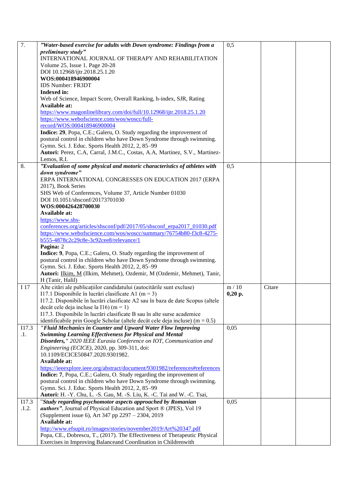| $\overline{7}$ . | "Water-based exercise for adults with Down syndrome: Findings from a              | 0,5       |        |  |
|------------------|-----------------------------------------------------------------------------------|-----------|--------|--|
|                  |                                                                                   |           |        |  |
|                  | preliminary study"                                                                |           |        |  |
|                  | INTERNATIONAL JOURNAL OF THERAPY AND REHABILITATION                               |           |        |  |
|                  | Volume 25, Issue 1, Page 20-28                                                    |           |        |  |
|                  | DOI 10.12968/ijtr.2018.25.1.20                                                    |           |        |  |
|                  | WOS:000418946900004                                                               |           |        |  |
|                  | <b>IDS Number: FR3DT</b>                                                          |           |        |  |
|                  | <b>Indexed in:</b>                                                                |           |        |  |
|                  | Web of Science, Impact Score, Overall Ranking, h-index, SJR, Rating               |           |        |  |
|                  |                                                                                   |           |        |  |
|                  | Available at:                                                                     |           |        |  |
|                  | https://www.magonlinelibrary.com/doi/full/10.12968/ijtr.2018.25.1.20              |           |        |  |
|                  | https://www.webofscience.com/wos/woscc/full-                                      |           |        |  |
|                  | record/WOS:000418946900004                                                        |           |        |  |
|                  | Indice: 29, Popa, C.E.; Galeru, O. Study regarding the improvement of             |           |        |  |
|                  | postural control in children who have Down Syndrome through swimming.             |           |        |  |
|                  | Gymn. Sci. J. Educ. Sports Health 2012, 2, 85-99                                  |           |        |  |
|                  | Autori: Perez, C.A, Carral, J.M.C., Costas, A.A, Martinez, S.V., Martinez-        |           |        |  |
|                  | Lemos, R.I.                                                                       |           |        |  |
| 8.               | "Evaluation of some physical and motoric characteristics of athletes with         | 0,5       |        |  |
|                  |                                                                                   |           |        |  |
|                  | down syndrome"                                                                    |           |        |  |
|                  | ERPA INTERNATIONAL CONGRESSES ON EDUCATION 2017 (ERPA                             |           |        |  |
|                  | 2017), Book Series                                                                |           |        |  |
|                  | SHS Web of Conferences, Volume 37, Article Number 01030                           |           |        |  |
|                  | DOI 10.1051/shsconf/20173701030                                                   |           |        |  |
|                  | WOS:000426428700030                                                               |           |        |  |
|                  | Available at:                                                                     |           |        |  |
|                  | https://www.shs-                                                                  |           |        |  |
|                  | conferences.org/articles/shsconf/pdf/2017/05/shsconf_erpa2017_01030.pdf           |           |        |  |
|                  |                                                                                   |           |        |  |
|                  | https://www.webofscience.com/wos/woscc/summary/76754b80-f3c8-4275-                |           |        |  |
|                  | b555-4878c2c29c8e-3c92cee8/relevance/1                                            |           |        |  |
|                  | Pagina: 2                                                                         |           |        |  |
|                  | Indice: 9, Popa, C.E.; Galeru, O. Study regarding the improvement of              |           |        |  |
|                  | postural control in children who have Down Syndrome through swimming.             |           |        |  |
|                  | Gymn. Sci. J. Educ. Sports Health 2012, 2, 85-99                                  |           |        |  |
|                  | Autori: Ilkim, M (Ilkim, Mehmet), Ozdemir, M (Ozdemir, Mehmet), Tanir,            |           |        |  |
|                  | H (Tanir, Halil)                                                                  |           |        |  |
| I 17             | Alte citări ale publicațiilor candidatului (autocitările sunt excluse)            | m/10      | Citare |  |
|                  | I17.1 Disponibile în lucrări clasificate A1 (m = 3)                               | $0,20$ p. |        |  |
|                  |                                                                                   |           |        |  |
|                  | I17.2. Disponibile în lucrări clasificate A2 sau în baza de date Scopus (altele   |           |        |  |
|                  | decât cele deja incluse la I16) (m = 1)                                           |           |        |  |
|                  | I17.3. Disponibile în lucrări clasificate B sau în alte surse academice           |           |        |  |
|                  | identificabile prin Google Scholar (altele decât cele deja incluse) ( $m = 0.5$ ) |           |        |  |
| I17.3            | "Fluid Mechanics in Counter and Upward Water Flow Improving                       | 0,05      |        |  |
| .1.              | <b>Swimming Learning Effectiveness for Physical and Mental</b>                    |           |        |  |
|                  | Disorders," 2020 IEEE Eurasia Conference on IOT, Communication and                |           |        |  |
|                  | <i>Engineering (ECICE)</i> , 2020, pp. 309-311, doi:                              |           |        |  |
|                  | 10.1109/ECICE50847.2020.9301982.                                                  |           |        |  |
|                  | Available at:                                                                     |           |        |  |
|                  | https://ieeexplore.ieee.org/abstract/document/9301982/references#references       |           |        |  |
|                  |                                                                                   |           |        |  |
|                  | Indice: 7, Popa, C.E.; Galeru, O. Study regarding the improvement of              |           |        |  |
|                  | postural control in children who have Down Syndrome through swimming.             |           |        |  |
|                  | Gymn. Sci. J. Educ. Sports Health 2012, 2, 85-99                                  |           |        |  |
|                  | Autori: H. - Y. Chu, L. - S. Gau, M. - S. Liu, K. - C. Tai and W. - C. Tsai,      |           |        |  |
| I17.3            | "Study regarding psychomotor aspects approached by Romanian                       | 0,05      |        |  |
| .1.2.            | authors", Journal of Physical Education and Sport ® (JPES), Vol 19                |           |        |  |
|                  | (Supplement issue 6), Art 347 pp 2297 - 2304, 2019                                |           |        |  |
|                  | Available at:                                                                     |           |        |  |
|                  | http://www.efsupit.ro/images/stories/november2019/Art%20347.pdf                   |           |        |  |
|                  |                                                                                   |           |        |  |
|                  | Popa, CE., Dobrescu, T., (2017). The Effectiveness of Therapeutic Physical        |           |        |  |
|                  | Exercises in Improving Balanceand Coordination in Childrenwith                    |           |        |  |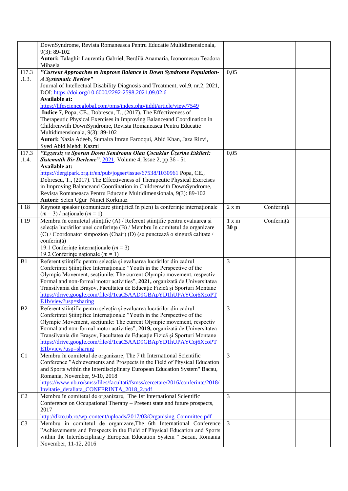|                | DownSyndrome, Revista Romaneasca Pentru Educatie Multidimensionala,<br>$9(3): 89-102$                                                                |                |            |  |
|----------------|------------------------------------------------------------------------------------------------------------------------------------------------------|----------------|------------|--|
|                | Autori: Talaghir Laurentiu Gabriel, Berdilă Anamaria, Iconomescu Teodora<br>Mihaela                                                                  |                |            |  |
| I17.3          | "Current Approaches to Improve Balance in Down Syndrome Population-                                                                                  | 0,05           |            |  |
| .1.3.          | A Systematic Review"                                                                                                                                 |                |            |  |
|                | Journal of Intellectual Disability Diagnosis and Treatment, vol.9, nr.2, 2021,                                                                       |                |            |  |
|                | DOI: https://doi.org/10.6000/2292-2598.2021.09.02.6                                                                                                  |                |            |  |
|                | <b>Available at:</b>                                                                                                                                 |                |            |  |
|                | https://lifescienceglobal.com/pms/index.php/jiddt/article/view/7549                                                                                  |                |            |  |
|                | Indice 7, Popa, CE., Dobrescu, T., (2017). The Effectiveness of                                                                                      |                |            |  |
|                | Therapeutic Physical Exercises in Improving Balanceand Coordination in                                                                               |                |            |  |
|                | Childrenwith DownSyndrome, Revista Romaneasca Pentru Educatie                                                                                        |                |            |  |
|                | Multidimensionala, 9(3): 89-102                                                                                                                      |                |            |  |
|                | Autori: Nazia Adeeb, Sumaira Imran Farooqui, Abid Khan, Jaza Rizvi,                                                                                  |                |            |  |
|                | Syed Abid Mehdi Kazmi                                                                                                                                |                |            |  |
| I17.3          | "Egzersiz ve Sporun Down Sendromu Olan Çocuklar Üzerine Etkileri:                                                                                    | 0,05           |            |  |
| .1.4.          | Sistematik Bir Derleme", 2021, Volume 4, Issue 2, pp.36 - 51                                                                                         |                |            |  |
|                | <b>Available at:</b>                                                                                                                                 |                |            |  |
|                | https://dergipark.org.tr/en/pub/jogser/issue/67538/1030961 Popa, CE.,                                                                                |                |            |  |
|                | Dobrescu, T., (2017). The Effectiveness of Therapeutic Physical Exercises                                                                            |                |            |  |
|                | in Improving Balanceand Coordination in Childrenwith DownSyndrome,                                                                                   |                |            |  |
|                | Revista Romaneasca Pentru Educatie Multidimensionala, 9(3): 89-102                                                                                   |                |            |  |
|                | Autori: Selen Uğur Nimet Korkmaz                                                                                                                     |                |            |  |
| I 18           | Keynote speaker (comunicare științifică în plen) la conferințe internaționale                                                                        | 2 x m          | Conferință |  |
|                | $(m=3)$ / nationale $(m=1)$                                                                                                                          |                |            |  |
| I 19           | Membru în comitetul științific (A) / Referent științific pentru evaluarea și                                                                         | 1 x m          | Conferință |  |
|                | selecția lucrărilor unei conferințe (B) / Membru în comitetul de organizare                                                                          | 30p            |            |  |
|                | (C) / Coordonator simpozion (Chair) (D) (se punctează o singură calitate /                                                                           |                |            |  |
|                | conferință)                                                                                                                                          |                |            |  |
|                | 19.1 Conferințe internaționale ( $m = 3$ )                                                                                                           |                |            |  |
| B1             | 19.2 Conferințe naționale ( $m = 1$ )<br>Referent științific pentru selecția și evaluarea lucrărilor din cadrul                                      | 3              |            |  |
|                | Conferinței Științifice Internaționale "Youth in the Perspective of the                                                                              |                |            |  |
|                | Olympic Movement, sectiunile: The current Olympic movement, respectiv                                                                                |                |            |  |
|                | Formal and non-formal motor activities", 2021, organizată de Universitatea                                                                           |                |            |  |
|                | Transilvania din Brașov, Facultatea de Educație Fizică și Sporturi Montane                                                                           |                |            |  |
|                | https://drive.google.com/file/d/1caC5AAD9GBApYD1hUPAYCoj6XcoPT                                                                                       |                |            |  |
|                | E1b/view?usp=sharing                                                                                                                                 |                |            |  |
| B2             | Referent științific pentru selecția și evaluarea lucrărilor din cadrul                                                                               | 3              |            |  |
|                | Conferinței Științifice Internaționale "Youth in the Perspective of the                                                                              |                |            |  |
|                | Olympic Movement, sectiunile: The current Olympic movement, respectiv                                                                                |                |            |  |
|                | Formal and non-formal motor activities", 2019, organizată de Universitatea                                                                           |                |            |  |
|                | Transilvania din Brașov, Facultatea de Educație Fizică și Sporturi Montane                                                                           |                |            |  |
|                | https://drive.google.com/file/d/1caC5AAD9GBApYD1hUPAYCoj6XcoPT                                                                                       |                |            |  |
|                | E1b/view?usp=sharing                                                                                                                                 |                |            |  |
| C1             | Membru în comitetul de organizare, The 7 th International Scientific                                                                                 | 3              |            |  |
|                | Conference "Achievements and Prospects in the Field of Physical Education                                                                            |                |            |  |
|                | and Sports within the Interdisciplinary European Education System" Bacau,                                                                            |                |            |  |
|                | Romania, November, 9-10, 2018                                                                                                                        |                |            |  |
|                | https://www.ub.ro/smss/files/facultati/fsmss/cercetare/2016/conferinte/2018/                                                                         |                |            |  |
| C <sub>2</sub> | Invitatie detaliata CONFERINTA 2018 2.pdf                                                                                                            | 3              |            |  |
|                | Membru în comitetul de organizare, The 1st International Scientific<br>Conference on Occupational Therapy - Present state and future prospects,      |                |            |  |
|                | 2017                                                                                                                                                 |                |            |  |
|                | http://dkto.ub.ro/wp-content/uploads/2017/03/Organising-Committee.pdf                                                                                |                |            |  |
|                |                                                                                                                                                      | $\mathfrak{Z}$ |            |  |
|                |                                                                                                                                                      |                |            |  |
| C <sub>3</sub> | Membru în comitetul de organizare, The 6th International Conference                                                                                  |                |            |  |
|                | "Achievements and Prospects in the Field of Physical Education and Sports<br>within the Interdisciplinary European Education System " Bacau, Romania |                |            |  |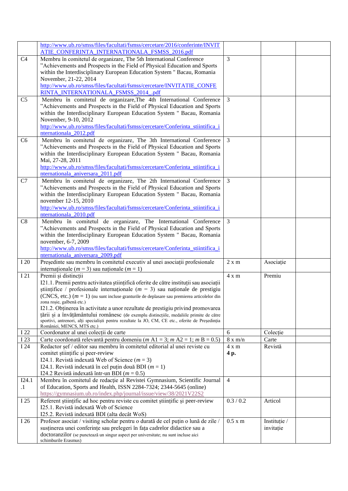|                 | http://www.ub.ro/smss/files/facultati/fsmss/cercetare/2016/conferinte/INVIT                                                                                    |                               |                           |  |
|-----------------|----------------------------------------------------------------------------------------------------------------------------------------------------------------|-------------------------------|---------------------------|--|
|                 | ATIE_CONFERINTA_INTERNATIONALA_FSMSS_2016.pdf                                                                                                                  |                               |                           |  |
| C <sub>4</sub>  | Membru în comitetul de organizare, The 5th International Conference                                                                                            | $\overline{3}$                |                           |  |
|                 | "Achievements and Prospects in the Field of Physical Education and Sports<br>within the Interdisciplinary European Education System " Bacau, Romania           |                               |                           |  |
|                 | November, 21-22, 2014                                                                                                                                          |                               |                           |  |
|                 | http://www.ub.ro/smss/files/facultati/fsmss/cercetare/INVITATIE_CONFE                                                                                          |                               |                           |  |
|                 | RINTA_INTERNATIONALA_FSMSS_2014_.pdf                                                                                                                           |                               |                           |  |
| C <sub>5</sub>  | Membru în comitetul de organizare, The 4th International Conference                                                                                            | $\overline{3}$                |                           |  |
|                 | "Achievements and Prospects in the Field of Physical Education and Sports                                                                                      |                               |                           |  |
|                 | within the Interdisciplinary European Education System " Bacau, Romania                                                                                        |                               |                           |  |
|                 | November, 9-10, 2012                                                                                                                                           |                               |                           |  |
|                 | http://www.ub.ro/smss/files/facultati/fsmss/cercetare/Conferinta_stiintifica_i                                                                                 |                               |                           |  |
| C6              | nternationala_2012.pdf<br>Membru în comitetul de organizare, The 3th International Conference                                                                  | 3                             |                           |  |
|                 | "Achievements and Prospects in the Field of Physical Education and Sports                                                                                      |                               |                           |  |
|                 | within the Interdisciplinary European Education System " Bacau, Romania                                                                                        |                               |                           |  |
|                 | Mai, 27-28, 2011                                                                                                                                               |                               |                           |  |
|                 | http://www.ub.ro/smss/files/facultati/fsmss/cercetare/Conferinta_stiintifica_i                                                                                 |                               |                           |  |
|                 | nternationala aniversara 2011.pdf                                                                                                                              |                               |                           |  |
| C7              | Membru în comitetul de organizare, The 2th International Conference                                                                                            | 3                             |                           |  |
|                 | "Achievements and Prospects in the Field of Physical Education and Sports                                                                                      |                               |                           |  |
|                 | within the Interdisciplinary European Education System " Bacau, Romania                                                                                        |                               |                           |  |
|                 | november 12-15, 2010<br>http://www.ub.ro/smss/files/facultati/fsmss/cercetare/Conferinta stiintifica i                                                         |                               |                           |  |
|                 | nternationala 2010.pdf                                                                                                                                         |                               |                           |  |
| C8              | Membru în comitetul de organizare, The International Conference                                                                                                | 3                             |                           |  |
|                 | "Achievements and Prospects in the Field of Physical Education and Sports                                                                                      |                               |                           |  |
|                 | within the Interdisciplinary European Education System " Bacau, Romania                                                                                        |                               |                           |  |
|                 | november, 6-7, 2009                                                                                                                                            |                               |                           |  |
|                 | http://www.ub.ro/smss/files/facultati/fsmss/cercetare/Conferinta stiintifica i<br>nternationala_aniversara_2009.pdf                                            |                               |                           |  |
| I 20            | Președinte sau membru în comitetul executiv al unei asociații profesionale                                                                                     | 2 x m                         | Asociație                 |  |
|                 | internationale ( $m = 3$ ) sau naționale ( $m = 1$ )                                                                                                           |                               |                           |  |
| I 21            | Premii și distincții                                                                                                                                           | 4 x m                         | Premiu                    |  |
|                 | I21.1. Premii pentru activitatea științifică oferite de către instituții sau asociații                                                                         |                               |                           |  |
|                 | stiințifice / profesionale internaționale ( $m = 3$ ) sau naționale de prestigiu                                                                               |                               |                           |  |
|                 | (CNCS, etc.) $(m = 1)$ (nu sunt incluse granturile de deplasare sau premierea articolelor din<br>zona roșie, galbenă etc.)                                     |                               |                           |  |
|                 | I21.2. Obținerea în activitate a unor rezultate de prestigiu privind promovarea                                                                                |                               |                           |  |
|                 | țării și a învățământului românesc (de exemplu distincțiile, medaliile primite de către                                                                        |                               |                           |  |
|                 | sportivi, antrenori, alți specialiști pentru rezultate la JO, CM, CE etc., oferite de Președinția<br>României, MENCS, MTS etc.)                                |                               |                           |  |
| I 22            | Coordonator al unei colecții de carte                                                                                                                          | 6                             | Colecție                  |  |
| I 23            | Carte coordonată relevantă pentru domeniu (m A1 = 3; m A2 = 1; m B = 0.5)                                                                                      | $8 \times m/n$                | Carte                     |  |
| I <sub>24</sub> | Redactor șef / editor sau membru în comitetul editorial al unei reviste cu                                                                                     | $4 \ \mathrm{x} \ \mathrm{m}$ | Revistă                   |  |
|                 | comitet științific și peer-review                                                                                                                              | 4 p.                          |                           |  |
|                 | I24.1. Revistă indexată Web of Science ( $m = 3$ )                                                                                                             |                               |                           |  |
|                 | I24.1. Revistă indexată în cel puțin două BDI ( $m = 1$ )<br>I24.2 Revistă indexată într-un BDI ( $m = 0.5$ )                                                  |                               |                           |  |
| I24.1           | Membru în comitetul de redacție al Revistei Gymnasium, Scientific Journal                                                                                      | $\overline{4}$                |                           |  |
| $\cdot$ 1       | of Education, Sports and Health, ISSN 2284-7324; 2344-5645 (online)                                                                                            |                               |                           |  |
|                 | https://gymnasium.ub.ro/index.php/journal/issue/view/38/2021V22S2                                                                                              |                               |                           |  |
| I 25            | Referent științific ad hoc pentru reviste cu comitet științific și peer-review                                                                                 | 0.3 / 0.2                     | Articol                   |  |
|                 | I25.1. Revistă indexată Web of Science                                                                                                                         |                               |                           |  |
|                 | I25.2. Revistă indexată BDI (alta decât WoS)                                                                                                                   |                               |                           |  |
| I 26            | Profesor asociat / visiting scholar pentru o durată de cel puțin o lună de zile /<br>susținerea unei conferințe sau prelegeri în fața cadrelor didactice sau a | 0.5 x m                       | Instituție /<br>invitație |  |
|                 | doctoranzilor (se punctează un singur aspect per universitate; nu sunt incluse aici                                                                            |                               |                           |  |
|                 | schimburile Erasmus)                                                                                                                                           |                               |                           |  |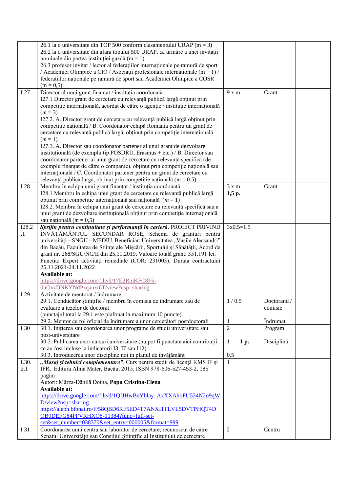|         | 26.1 la o universitate din TOP 500 conform clasamentului URAP ( $m = 3$ )                                                                              |                      |             |  |
|---------|--------------------------------------------------------------------------------------------------------------------------------------------------------|----------------------|-------------|--|
|         | 26.2 la o universitate din afara topului 500 URAP, ca urmare a unei invitații                                                                          |                      |             |  |
|         | nominale din partea instituției gazdă (m = 1)                                                                                                          |                      |             |  |
|         | 26.3 profesor invitat / lector al federațiilor internaționale pe ramură de sport                                                                       |                      |             |  |
|         |                                                                                                                                                        |                      |             |  |
|         | / Academiei Olimpice a CIO / Asociații profesionale internaționale (m = 1) /                                                                           |                      |             |  |
|         | federațiilor naționale pe ramură de sport sau Academiei Olimpice a COSR                                                                                |                      |             |  |
|         | $(m = 0.5)$                                                                                                                                            |                      |             |  |
| I 27    | Director al unui grant finanțat / instituția coordonată                                                                                                | $9x$ m               | Grant       |  |
|         | I27.1 Director grant de cercetare cu relevanță publică largă obținut prin                                                                              |                      |             |  |
|         |                                                                                                                                                        |                      |             |  |
|         | competiție internațională, acordat de către o agenție / instituție internațională                                                                      |                      |             |  |
|         | $(m = 3)$                                                                                                                                              |                      |             |  |
|         | I27.2. A. Director grant de cercetare cu relevanță publică largă obținut prin                                                                          |                      |             |  |
|         | competiție națională / B. Coordonator echipă România pentru un grant de                                                                                |                      |             |  |
|         | cercetare cu relevanță publică largă, obținut prin competiție internațională                                                                           |                      |             |  |
|         | $(m=1)$                                                                                                                                                |                      |             |  |
|         |                                                                                                                                                        |                      |             |  |
|         | I27.3. A. Director sau coordonator partener al unui grant de dezvoltare                                                                                |                      |             |  |
|         | instituțională (de exemplu tip POSDRU, Erasmus + etc.) / B. Director sau                                                                               |                      |             |  |
|         | coordonator partener al unui grant de cercetare cu relevanță specifică (de                                                                             |                      |             |  |
|         | exemplu finanțat de către o companie), obținut prin competiție națională sau                                                                           |                      |             |  |
|         | internațională / C. Coordonator partener pentru un grant de cercetare cu                                                                               |                      |             |  |
|         |                                                                                                                                                        |                      |             |  |
|         | relevanță publică largă, obținut prin competiție națională ( $m = 0.5$ )                                                                               |                      |             |  |
| I 28    | Membru în echipa unui grant finanțat / instituția coordonată                                                                                           | $3 \times m$         | Grant       |  |
|         | I28.1 Membru în echipa unui grant de cercetare cu relevanță publică largă                                                                              | $1,5$ p.             |             |  |
|         | obținut prin competiție internațională sau națională $(m = 1)$                                                                                         |                      |             |  |
|         | I28.2. Membru în echipa unui grant de cercetare cu relevanță specifică sau a                                                                           |                      |             |  |
|         | unui grant de dezvoltare instituțională obținut prin competiție internațională                                                                         |                      |             |  |
|         |                                                                                                                                                        |                      |             |  |
|         | sau națională ( $m = 0.5$ )                                                                                                                            |                      |             |  |
| I28.2   | Sprijin pentru continuitate și performanță în carieră. PROIECT PRIVIND                                                                                 | $3x0.5=1.5$          |             |  |
| $\cdot$ | ÎNVĂȚĂMÂNTUL SECUNDAR ROSE, Schema de granturi pentru                                                                                                  |                      |             |  |
|         | universități - SNGU - MEDIU, Beneficiar: Universitatea "Vasile Alecsandri"                                                                             |                      |             |  |
|         | din Bacău, Facultatea de Științe ale Mișcării, Sportului și Sănătății, Acord de                                                                        |                      |             |  |
|         | grant nr. 268/SGU/NC/II din 25.11.2019, Valoare totală grant: 351.191 lei.                                                                             |                      |             |  |
|         |                                                                                                                                                        |                      |             |  |
|         | Funcția: Expert activități remediale (COR: 231003). Durata contractului                                                                                |                      |             |  |
|         | 25.11.2021-24.11.2022                                                                                                                                  |                      |             |  |
|         | Available at:                                                                                                                                          |                      |             |  |
|         | https://drive.google.com/file/d/17E2RmKFC8F5-                                                                                                          |                      |             |  |
|         | 0uOxzDNKYNdPzqanxt6T/view?usp=sharing                                                                                                                  |                      |             |  |
| I 29    | Activitate de mentorat / îndrumare                                                                                                                     |                      |             |  |
|         |                                                                                                                                                        |                      |             |  |
|         | 29.1. Conducător științific / membru în comisia de îndrumare sau de                                                                                    | 1/0.5                | Doctorand / |  |
|         | evaluare a tezelor de doctorat                                                                                                                         |                      | comisie     |  |
|         | (punctajul total la 29.1 este plafonat la maximum 10 puncte)                                                                                           |                      |             |  |
|         | 29.2. Mentor cu rol oficial de îndrumare a unor cercetători postdoctorali                                                                              | 1                    | Îndrumat    |  |
| I 30    | 30.1. Inițierea sau coordonarea unor programe de studii universitare sau                                                                               | $\overline{2}$       | Program     |  |
|         | post-universitare                                                                                                                                      |                      |             |  |
|         | 30.2. Publicarea unor cursuri universitare (nu pot fi punctate aici contribuții                                                                        |                      | Disciplină  |  |
|         |                                                                                                                                                        | 1 p.<br>$\mathbf{1}$ |             |  |
|         | ce au fost incluse la indicatorii I3, I7 sau I12)                                                                                                      |                      |             |  |
|         | 30.3. Introducerea unor discipline noi în planul de învățământ                                                                                         | 0.5                  |             |  |
| I.30.   | "Masaj și tehnici complementare". Curs pentru studii de licență KMS IF și                                                                              | $\mathbf{1}$         |             |  |
| 2.1     | IFR, Editura Alma Mater, Bacău, 2015, ISBN 978-606-527-453-2, 185                                                                                      |                      |             |  |
|         | pagini                                                                                                                                                 |                      |             |  |
|         | Autori: Mârza-Dănilă Doina, Popa Cristina-Elena                                                                                                        |                      |             |  |
|         |                                                                                                                                                        |                      |             |  |
|         | Available at:                                                                                                                                          |                      |             |  |
|         | https://drive.google.com/file/d/1QfJHwBnYblay AxXXAhoFU534N2o9qW                                                                                       |                      |             |  |
|         |                                                                                                                                                        |                      |             |  |
|         | D/view?usp=sharing                                                                                                                                     |                      |             |  |
|         |                                                                                                                                                        |                      |             |  |
|         | https://aleph.bibnat.ro/F/58QBD6RF5ED4T7ANXI1TLVL5DVTPHQT4D                                                                                            |                      |             |  |
|         | QB9DEFG84PFVRHXQ8-11384?func=full-set-                                                                                                                 |                      |             |  |
|         | set&set number=038370&set entry=000005&format=999                                                                                                      |                      |             |  |
| I 31    | Coordonarea unui centru sau laborator de cercetare, recunoscut de către<br>Senatul Universității sau Consiliul Științific al Institutului de cercetare | $\boldsymbol{2}$     | Centru      |  |